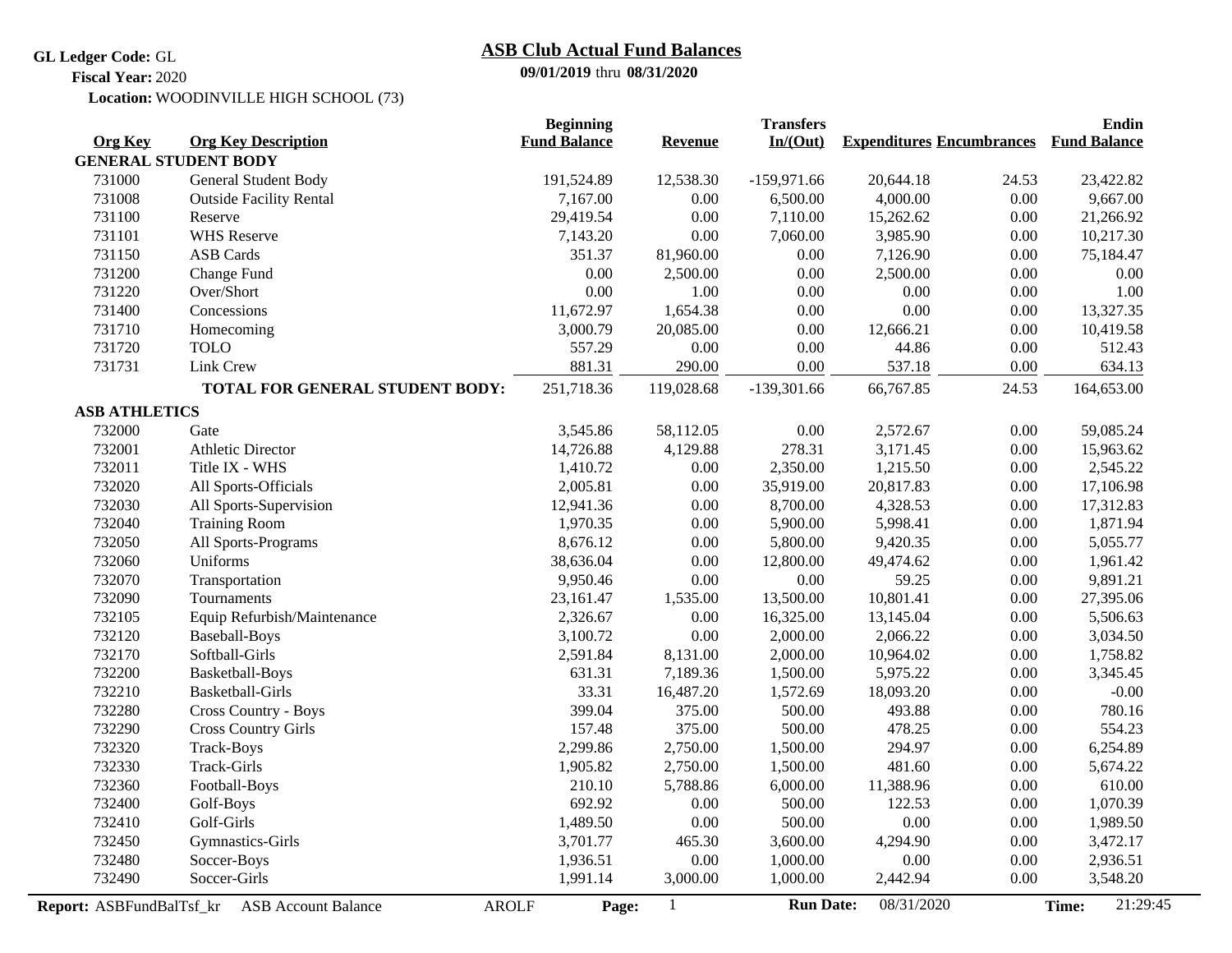**GL Ledger Code:** GL

## **09/01/2019** thru **08/31/2020 ASB Club Actual Fund Balances**

**Fiscal Year:** 2020

Location: WOODINVILLE HIGH SCHOOL (73)

|                          |                                            | <b>Beginning</b>    |                | <b>Transfers</b> |                                  |       | Endin               |  |
|--------------------------|--------------------------------------------|---------------------|----------------|------------------|----------------------------------|-------|---------------------|--|
| <b>Org Key</b>           | <b>Org Key Description</b>                 | <b>Fund Balance</b> | <b>Revenue</b> | In/(Out)         | <b>Expenditures Encumbrances</b> |       | <b>Fund Balance</b> |  |
|                          | <b>GENERAL STUDENT BODY</b>                |                     |                |                  |                                  |       |                     |  |
| 731000                   | General Student Body                       | 191,524.89          | 12,538.30      | $-159,971.66$    | 20,644.18                        | 24.53 | 23,422.82           |  |
| 731008                   | <b>Outside Facility Rental</b>             | 7,167.00            | 0.00           | 6,500.00         | 4,000.00                         | 0.00  | 9,667.00            |  |
| 731100                   | Reserve                                    | 29,419.54           | 0.00           | 7,110.00         | 15,262.62                        | 0.00  | 21,266.92           |  |
| 731101                   | <b>WHS Reserve</b>                         | 7,143.20            | 0.00           | 7,060.00         | 3,985.90                         | 0.00  | 10,217.30           |  |
| 731150                   | <b>ASB</b> Cards                           | 351.37              | 81,960.00      | 0.00             | 7,126.90                         | 0.00  | 75,184.47           |  |
| 731200                   | Change Fund                                | 0.00                | 2,500.00       | 0.00             | 2,500.00                         | 0.00  | $0.00\,$            |  |
| 731220                   | Over/Short                                 | 0.00                | 1.00           | $0.00\,$         | 0.00                             | 0.00  | 1.00                |  |
| 731400                   | Concessions                                | 11,672.97           | 1,654.38       | $0.00\,$         | 0.00                             | 0.00  | 13,327.35           |  |
| 731710                   | Homecoming                                 | 3,000.79            | 20,085.00      | $0.00\,$         | 12,666.21                        | 0.00  | 10,419.58           |  |
| 731720                   | <b>TOLO</b>                                | 557.29              | $0.00\,$       | $0.00\,$         | 44.86                            | 0.00  | 512.43              |  |
| 731731                   | Link Crew                                  | 881.31              | 290.00         | 0.00             | 537.18                           | 0.00  | 634.13              |  |
|                          | TOTAL FOR GENERAL STUDENT BODY:            | 251,718.36          | 119,028.68     | $-139,301.66$    | 66,767.85                        | 24.53 | 164,653.00          |  |
| <b>ASB ATHLETICS</b>     |                                            |                     |                |                  |                                  |       |                     |  |
| 732000                   | Gate                                       | 3,545.86            | 58,112.05      | 0.00             | 2,572.67                         | 0.00  | 59,085.24           |  |
| 732001                   | <b>Athletic Director</b>                   | 14,726.88           | 4,129.88       | 278.31           | 3,171.45                         | 0.00  | 15,963.62           |  |
| 732011                   | Title IX - WHS                             | 1,410.72            | 0.00           | 2,350.00         | 1,215.50                         | 0.00  | 2,545.22            |  |
| 732020                   | All Sports-Officials                       | 2,005.81            | 0.00           | 35,919.00        | 20,817.83                        | 0.00  | 17,106.98           |  |
| 732030                   | All Sports-Supervision                     | 12,941.36           | 0.00           | 8,700.00         | 4,328.53                         | 0.00  | 17,312.83           |  |
| 732040                   | <b>Training Room</b>                       | 1,970.35            | $0.00\,$       | 5,900.00         | 5,998.41                         | 0.00  | 1,871.94            |  |
| 732050                   | All Sports-Programs                        | 8,676.12            | 0.00           | 5,800.00         | 9,420.35                         | 0.00  | 5,055.77            |  |
| 732060                   | Uniforms                                   | 38,636.04           | 0.00           | 12,800.00        | 49,474.62                        | 0.00  | 1,961.42            |  |
| 732070                   | Transportation                             | 9,950.46            | 0.00           | 0.00             | 59.25                            | 0.00  | 9,891.21            |  |
| 732090                   | Tournaments                                | 23,161.47           | 1,535.00       | 13,500.00        | 10,801.41                        | 0.00  | 27,395.06           |  |
| 732105                   | Equip Refurbish/Maintenance                | 2,326.67            | 0.00           | 16,325.00        | 13,145.04                        | 0.00  | 5,506.63            |  |
| 732120                   | <b>Baseball-Boys</b>                       | 3,100.72            | 0.00           | 2,000.00         | 2,066.22                         | 0.00  | 3,034.50            |  |
| 732170                   | Softball-Girls                             | 2,591.84            | 8,131.00       | 2,000.00         | 10,964.02                        | 0.00  | 1,758.82            |  |
| 732200                   | Basketball-Boys                            | 631.31              | 7,189.36       | 1,500.00         | 5,975.22                         | 0.00  | 3,345.45            |  |
| 732210                   | Basketball-Girls                           | 33.31               | 16,487.20      | 1,572.69         | 18,093.20                        | 0.00  | $-0.00$             |  |
| 732280                   | <b>Cross Country - Boys</b>                | 399.04              | 375.00         | 500.00           | 493.88                           | 0.00  | 780.16              |  |
| 732290                   | <b>Cross Country Girls</b>                 | 157.48              | 375.00         | 500.00           | 478.25                           | 0.00  | 554.23              |  |
| 732320                   | Track-Boys                                 | 2,299.86            | 2,750.00       | 1,500.00         | 294.97                           | 0.00  | 6,254.89            |  |
| 732330                   | Track-Girls                                | 1,905.82            | 2,750.00       | 1,500.00         | 481.60                           | 0.00  | 5,674.22            |  |
| 732360                   | Football-Boys                              | 210.10              | 5,788.86       | 6,000.00         | 11,388.96                        | 0.00  | 610.00              |  |
| 732400                   | Golf-Boys                                  | 692.92              | 0.00           | 500.00           | 122.53                           | 0.00  | 1,070.39            |  |
| 732410                   | Golf-Girls                                 | 1,489.50            | 0.00           | 500.00           | 0.00                             | 0.00  | 1,989.50            |  |
| 732450                   | Gymnastics-Girls                           | 3,701.77            | 465.30         | 3,600.00         | 4,294.90                         | 0.00  | 3,472.17            |  |
| 732480                   | Soccer-Boys                                | 1,936.51            | 0.00           | 1,000.00         | 0.00                             | 0.00  | 2,936.51            |  |
| 732490                   | Soccer-Girls                               | 1,991.14            | 3,000.00       | 1,000.00         | 2,442.94                         | 0.00  | 3,548.20            |  |
| Report: ASBFundBalTsf_kr | <b>ASB Account Balance</b><br><b>AROLF</b> | Page:               | $\mathbf{1}$   | <b>Run Date:</b> | 08/31/2020                       |       | 21:29:45<br>Time:   |  |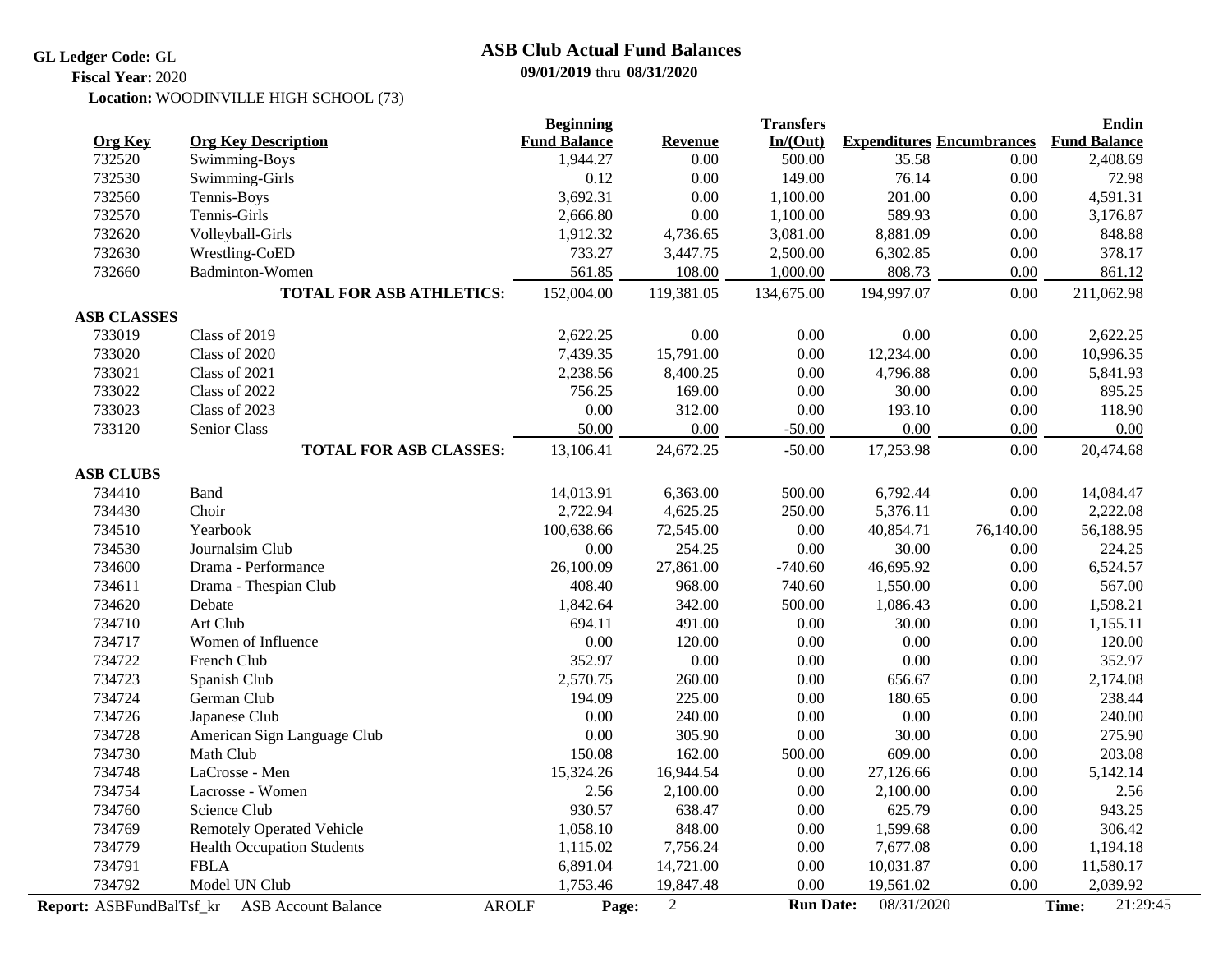## **GL Ledger Code:** GL

## **ASB Club Actual Fund Balances**

**09/01/2019** thru **08/31/2020**

Location: WOODINVILLE HIGH SCHOOL (73) **Fiscal Year:** 2020

|                          |                                            | <b>Beginning</b>    |                  | <b>Transfers</b> |                                  |           | <b>Endin</b>        |  |
|--------------------------|--------------------------------------------|---------------------|------------------|------------------|----------------------------------|-----------|---------------------|--|
| <b>Org Key</b>           | <b>Org Key Description</b>                 | <b>Fund Balance</b> | <b>Revenue</b>   | In/(Out)         | <b>Expenditures Encumbrances</b> |           | <b>Fund Balance</b> |  |
| 732520                   | Swimming-Boys                              | 1,944.27            | $0.00\,$         | 500.00           | 35.58                            | 0.00      | 2,408.69            |  |
| 732530                   | Swimming-Girls                             | 0.12                | 0.00             | 149.00           | 76.14                            | 0.00      | 72.98               |  |
| 732560                   | Tennis-Boys                                | 3,692.31            | 0.00             | 1,100.00         | 201.00                           | 0.00      | 4,591.31            |  |
| 732570                   | Tennis-Girls                               | 2,666.80            | 0.00             | 1,100.00         | 589.93                           | 0.00      | 3,176.87            |  |
| 732620                   | Volleyball-Girls                           | 1,912.32            | 4,736.65         | 3,081.00         | 8,881.09                         | 0.00      | 848.88              |  |
| 732630                   | Wrestling-CoED                             | 733.27              | 3,447.75         | 2,500.00         | 6,302.85                         | 0.00      | 378.17              |  |
| 732660                   | <b>Badminton-Women</b>                     | 561.85              | 108.00           | 1,000.00         | 808.73                           | 0.00      | 861.12              |  |
|                          | <b>TOTAL FOR ASB ATHLETICS:</b>            | 152,004.00          | 119,381.05       | 134,675.00       | 194,997.07                       | 0.00      | 211,062.98          |  |
| <b>ASB CLASSES</b>       |                                            |                     |                  |                  |                                  |           |                     |  |
| 733019                   | Class of 2019                              | 2,622.25            | 0.00             | 0.00             | 0.00                             | 0.00      | 2,622.25            |  |
| 733020                   | Class of 2020                              | 7,439.35            | 15,791.00        | $0.00\,$         | 12,234.00                        | 0.00      | 10,996.35           |  |
| 733021                   | Class of 2021                              | 2,238.56            | 8,400.25         | $0.00\,$         | 4,796.88                         | 0.00      | 5,841.93            |  |
| 733022                   | Class of 2022                              | 756.25              | 169.00           | 0.00             | 30.00                            | 0.00      | 895.25              |  |
| 733023                   | Class of 2023                              | 0.00                | 312.00           | 0.00             | 193.10                           | 0.00      | 118.90              |  |
| 733120                   | Senior Class                               | 50.00               | 0.00             | $-50.00$         | 0.00                             | 0.00      | 0.00                |  |
|                          | <b>TOTAL FOR ASB CLASSES:</b>              | 13,106.41           | 24,672.25        | $-50.00$         | 17,253.98                        | 0.00      | 20,474.68           |  |
| <b>ASB CLUBS</b>         |                                            |                     |                  |                  |                                  |           |                     |  |
| 734410                   | <b>Band</b>                                | 14,013.91           | 6,363.00         | 500.00           | 6,792.44                         | 0.00      | 14,084.47           |  |
| 734430                   | Choir                                      | 2,722.94            | 4,625.25         | 250.00           | 5,376.11                         | 0.00      | 2,222.08            |  |
| 734510                   | Yearbook                                   | 100,638.66          | 72,545.00        | 0.00             | 40,854.71                        | 76,140.00 | 56,188.95           |  |
| 734530                   | Journalsim Club                            | $0.00\,$            | 254.25           | 0.00             | 30.00                            | 0.00      | 224.25              |  |
| 734600                   | Drama - Performance                        | 26,100.09           | 27,861.00        | $-740.60$        | 46,695.92                        | 0.00      | 6,524.57            |  |
| 734611                   | Drama - Thespian Club                      | 408.40              | 968.00           | 740.60           | 1,550.00                         | 0.00      | 567.00              |  |
| 734620                   | Debate                                     | 1,842.64            | 342.00           | 500.00           | 1,086.43                         | 0.00      | 1,598.21            |  |
| 734710                   | Art Club                                   | 694.11              | 491.00           | 0.00             | 30.00                            | 0.00      | 1,155.11            |  |
| 734717                   | Women of Influence                         | 0.00                | 120.00           | 0.00             | 0.00                             | 0.00      | 120.00              |  |
| 734722                   | French Club                                | 352.97              | 0.00             | 0.00             | 0.00                             | 0.00      | 352.97              |  |
| 734723                   | Spanish Club                               | 2,570.75            | 260.00           | 0.00             | 656.67                           | 0.00      | 2,174.08            |  |
| 734724                   | German Club                                | 194.09              | 225.00           | 0.00             | 180.65                           | 0.00      | 238.44              |  |
| 734726                   | Japanese Club                              | 0.00                | 240.00           | 0.00             | 0.00                             | 0.00      | 240.00              |  |
| 734728                   | American Sign Language Club                | 0.00                | 305.90           | 0.00             | 30.00                            | 0.00      | 275.90              |  |
| 734730                   | Math Club                                  | 150.08              | 162.00           | 500.00           | 609.00                           | 0.00      | 203.08              |  |
| 734748                   | LaCrosse - Men                             | 15,324.26           | 16,944.54        | 0.00             | 27,126.66                        | 0.00      | 5,142.14            |  |
| 734754                   | Lacrosse - Women                           | 2.56                | 2,100.00         | $0.00\,$         | 2,100.00                         | 0.00      | 2.56                |  |
| 734760                   | Science Club                               | 930.57              | 638.47           | 0.00             | 625.79                           | 0.00      | 943.25              |  |
| 734769                   | <b>Remotely Operated Vehicle</b>           | 1,058.10            | 848.00           | $0.00\,$         | 1,599.68                         | 0.00      | 306.42              |  |
| 734779                   | <b>Health Occupation Students</b>          | 1,115.02            | 7,756.24         | 0.00             | 7,677.08                         | 0.00      | 1,194.18            |  |
| 734791                   | <b>FBLA</b>                                |                     | 14,721.00        | 0.00             | 10,031.87                        | 0.00      | 11,580.17           |  |
| 734792                   | Model UN Club                              | 1,753.46            | 19,847.48        | 0.00             | 19,561.02                        | 0.00      | 2,039.92            |  |
| Report: ASBFundBalTsf kr | <b>AROLF</b><br><b>ASB Account Balance</b> | Page:               | $\boldsymbol{2}$ | <b>Run Date:</b> | 08/31/2020                       |           | 21:29:45<br>Time:   |  |